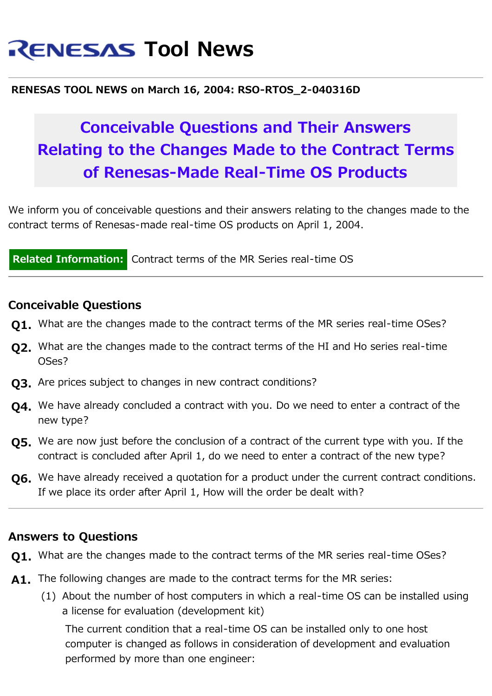# **RENESAS Tool News**

#### **RENESAS TOOL NEWS on March 16, 2004: RSO-RTOS\_2-040316D**

## **Conceivable Questions and Their Answers Relating to the Changes Made to the Contract Terms of Renesas-Made Real-Time OS Products**

We inform you of conceivable questions and their answers relating to the changes made to the contract terms of Renesas-made real-time OS products on April 1, 2004.

**Related Information:** Contract terms of the MR Series real-time OS

#### **Conceivable Questions**

- **Q1.** [What are the changes made to the contract terms of the MR series real-time OSes?](#page-0-0)
- **Q2.** [What are the changes made to the contract terms of the HI and Ho series real-time](#page-2-0) [OSes?](#page-2-0)
- **Q3.** [Are prices subject to changes in new contract conditions?](#page-2-1)
- **Q4.** [We have already concluded a contract with you. Do we need to enter a contract of the](#page-3-0) [new type?](#page-3-0)
- **Q5.** [We are now just before the conclusion of a contract of the current type with you. If the](#page-3-1) [contract is concluded after April 1, do we need to enter a contract of the new type?](#page-3-1)
- **Q6.** [We have already received a quotation for a product under the current contract conditions.](#page-3-2) [If we place its order after April 1, How will the order be dealt with?](#page-3-2)

### **Answers to Questions**

- <span id="page-0-0"></span>**Q1.** What are the changes made to the contract terms of the MR series real-time OSes?
- **A1.** The following changes are made to the contract terms for the MR series:
	- (1) About the number of host computers in which a real-time OS can be installed using a license for evaluation (development kit)

The current condition that a real-time OS can be installed only to one host computer is changed as follows in consideration of development and evaluation performed by more than one engineer: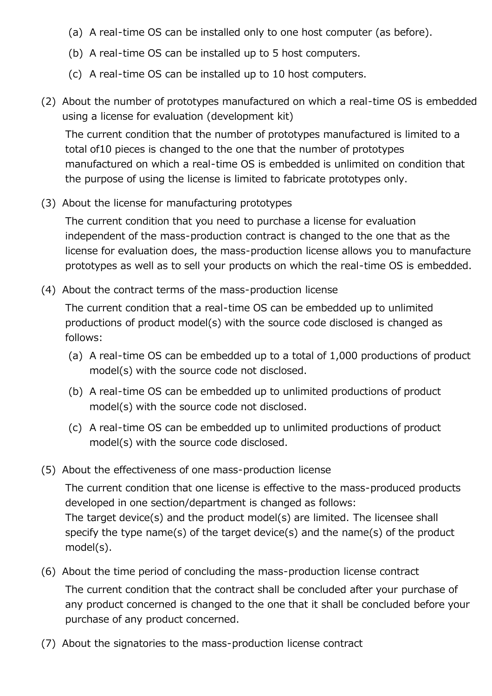- (a) A real-time OS can be installed only to one host computer (as before).
- (b) A real-time OS can be installed up to 5 host computers.
- (c) A real-time OS can be installed up to 10 host computers.
- (2) About the number of prototypes manufactured on which a real-time OS is embedded using a license for evaluation (development kit)

The current condition that the number of prototypes manufactured is limited to a total of10 pieces is changed to the one that the number of prototypes manufactured on which a real-time OS is embedded is unlimited on condition that the purpose of using the license is limited to fabricate prototypes only.

(3) About the license for manufacturing prototypes

The current condition that you need to purchase a license for evaluation independent of the mass-production contract is changed to the one that as the license for evaluation does, the mass-production license allows you to manufacture prototypes as well as to sell your products on which the real-time OS is embedded.

(4) About the contract terms of the mass-production license

The current condition that a real-time OS can be embedded up to unlimited productions of product model(s) with the source code disclosed is changed as follows:

- (a) A real-time OS can be embedded up to a total of 1,000 productions of product model(s) with the source code not disclosed.
- (b) A real-time OS can be embedded up to unlimited productions of product model(s) with the source code not disclosed.
- (c) A real-time OS can be embedded up to unlimited productions of product model(s) with the source code disclosed.
- (5) About the effectiveness of one mass-production license

The current condition that one license is effective to the mass-produced products developed in one section/department is changed as follows: The target device(s) and the product model(s) are limited. The licensee shall specify the type name(s) of the target device(s) and the name(s) of the product model(s).

- (6) About the time period of concluding the mass-production license contract The current condition that the contract shall be concluded after your purchase of any product concerned is changed to the one that it shall be concluded before your purchase of any product concerned.
- (7) About the signatories to the mass-production license contract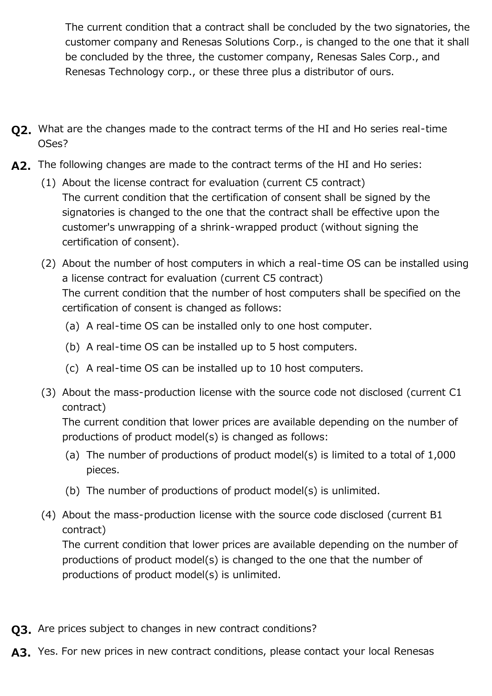The current condition that a contract shall be concluded by the two signatories, the customer company and Renesas Solutions Corp., is changed to the one that it shall be concluded by the three, the customer company, Renesas Sales Corp., and Renesas Technology corp., or these three plus a distributor of ours.

- <span id="page-2-0"></span>**Q2.** What are the changes made to the contract terms of the HI and Ho series real-time OSes?
- **A2.** The following changes are made to the contract terms of the HI and Ho series:
	- (1) About the license contract for evaluation (current C5 contract) The current condition that the certification of consent shall be signed by the signatories is changed to the one that the contract shall be effective upon the customer's unwrapping of a shrink-wrapped product (without signing the certification of consent).
	- (2) About the number of host computers in which a real-time OS can be installed using a license contract for evaluation (current C5 contract) The current condition that the number of host computers shall be specified on the certification of consent is changed as follows:
		- (a) A real-time OS can be installed only to one host computer.
		- (b) A real-time OS can be installed up to 5 host computers.
		- (c) A real-time OS can be installed up to 10 host computers.
	- (3) About the mass-production license with the source code not disclosed (current C1 contract)

The current condition that lower prices are available depending on the number of productions of product model(s) is changed as follows:

- (a) The number of productions of product model(s) is limited to a total of 1,000 pieces.
- (b) The number of productions of product model(s) is unlimited.
- (4) About the mass-production license with the source code disclosed (current B1 contract)

The current condition that lower prices are available depending on the number of productions of product model(s) is changed to the one that the number of productions of product model(s) is unlimited.

- <span id="page-2-1"></span>**Q3.** Are prices subject to changes in new contract conditions?
- A3. Yes. For new prices in new contract conditions, please contact your local Renesas